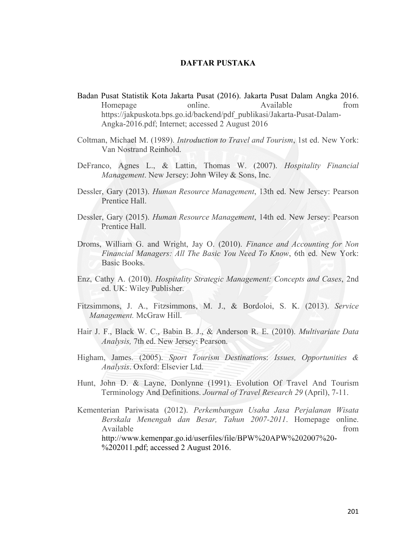## **DAFTAR PUSTAKA**

- Badan Pusat Statistik Kota Jakarta Pusat (2016). Jakarta Pusat Dalam Angka 2016. Homepage online. Available from https://jakpuskota.bps.go.id/backend/pdf\_publikasi/Jakarta-Pusat-Dalam-Angka-2016.pdf; Internet; accessed 2 August 2016
- Coltman, Michael M. (1989). *Introduction to Travel and Tourism*, 1st ed. New York: Van Nostrand Reinhold.
- DeFranco, Agnes L., & Lattin, Thomas W. (2007). *Hospitality Financial Management*. New Jersey: John Wiley & Sons, Inc.
- Dessler, Gary (2013). *Human Resource Management*, 13th ed. New Jersey: Pearson Prentice Hall.
- Dessler, Gary (2015). *Human Resource Management*, 14th ed. New Jersey: Pearson Prentice Hall.
- Droms, William G. and Wright, Jay O. (2010). *Finance and Accounting for Non Financial Managers: All The Basic You Need To Know*, 6th ed. New York: Basic Books.
- Enz, Cathy A. (2010). *Hospitality Strategic Management: Concepts and Cases*, 2nd ed. UK: Wiley Publisher.
- Fitzsimmons, J. A., Fitzsimmons, M. J., & Bordoloi, S. K. (2013). *Service Management.* McGraw Hill.
- Hair J. F., Black W. C., Babin B. J., & Anderson R. E. (2010). *Multivariate Data Analysis,* 7th ed. New Jersey: Pearson.
- Higham, James. (2005). *Sport Tourism Destination*s: *Issues, Opportunities & Analysis*. Oxford: Elsevier Ltd.
- Hunt, John D. & Layne, Donlynne (1991). Evolution Of Travel And Tourism Terminology And Definitions. *Journal of Travel Research 29* (April), 7-11.
- Kementerian Pariwisata (2012). *Perkembangan Usaha Jasa Perjalanan Wisata Berskala Menengah dan Besar, Tahun 2007-2011*. Homepage online. Available from the state of  $\sim$  from the state of  $\sim$  from the state of  $\sim$  from the state of  $\sim$  from the state of  $\sim$  from the state of  $\sim$  from the state of  $\sim$  from the state of  $\sim$  from the state of  $\sim$  from http://www.kemenpar.go.id/userfiles/file/BPW%20APW%202007%20- %202011.pdf; accessed 2 August 2016.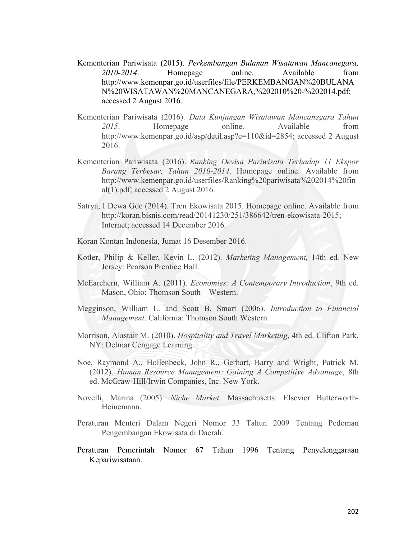- Kementerian Pariwisata (2015). *Perkembangan Bulanan Wisatawan Mancanegara, 2010-2014*. Homepage online. Available from http://www.kemenpar.go.id/userfiles/file/PERKEMBANGAN%20BULANA N%20WISATAWAN%20MANCANEGARA,%202010%20-%202014.pdf; accessed 2 August 2016.
- Kementerian Pariwisata (2016). *Data Kunjungan Wisatawan Mancanegara Tahun 2015*. Homepage online. Available from http://www.kemenpar.go.id/asp/detil.asp?c=110&id=2854; accessed 2 August 2016.
- Kementerian Pariwisata (2016). *Ranking Devisa Pariwisata Terhadap 11 Ekspor Barang Terbesar, Tahun 2010-2014*. Homepage online. Available from http://www.kemenpar.go.id/userfiles/Ranking%20pariwisata%202014%20fin al(1).pdf; accessed 2 August 2016.
- Satrya, I Dewa Gde (2014). Tren Ekowisata 2015. Homepage online. Available from http://koran.bisnis.com/read/20141230/251/386642/tren-ekowisata-2015; Internet; accessed 14 December 2016.
- Koran Kontan Indonesia, Jumat 16 Desember 2016.
- Kotler, Philip & Keller, Kevin L. (2012). *Marketing Management,* 14th ed*.* New Jersey: Pearson Prentice Hall.
- McEarchern, William A. (2011). *Economies: A Contemporary Introduction*, 9th ed. Mason, Ohio: Thomson South – Western.
- Megginson, William L. and Scott B. Smart (2006). *Introduction to Financial Management*. California: Thomson South Western.
- Morrison, Alastair M. (2010). *Hospitality and Travel Marketing*, 4th ed. Clifton Park, NY: Delmar Cengage Learning.
- Noe, Raymond A., Hollenbeck, John R., Gerhart, Barry and Wright, Patrick M. (2012). *Human Resource Management: Gaining A Competitive Advantage*, 8th ed. McGraw-Hill/Irwin Companies, Inc. New York.
- Novelli, Marina (2005). *Niche Market*. Massachusetts: Elsevier Butterworth-Heinemann.
- Peraturan Menteri Dalam Negeri Nomor 33 Tahun 2009 Tentang Pedoman Pengembangan Ekowisata di Daerah.
- Peraturan Pemerintah Nomor 67 Tahun 1996 Tentang Penyelenggaraan Kepariwisataan.